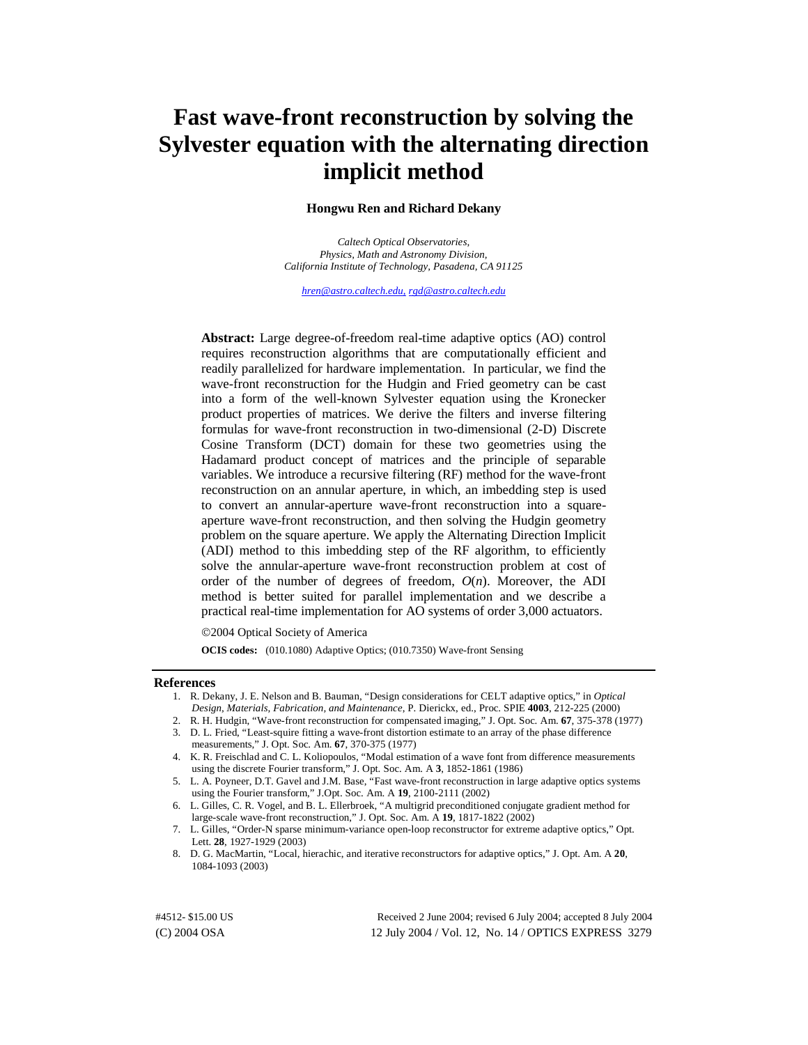# **Fast wave-front reconstruction by solving the Sylvester equation with the alternating direction implicit method**

# **Hongwu Ren and Richard Dekany**

*Caltech Optical Observatories, Physics, Math and Astronomy Division, California Institute of Technology, Pasadena, CA 91125* 

*[hren@astro.caltech.edu](mailto:hren@astro.caltech.edu)*, *[rgd@astro.caltech.edu](mailto:rgd@astro.caltech.edu)*

**Abstract:** Large degree-of-freedom real-time adaptive optics (AO) control requires reconstruction algorithms that are computationally efficient and readily parallelized for hardware implementation. In particular, we find the wave-front reconstruction for the Hudgin and Fried geometry can be cast into a form of the well-known Sylvester equation using the Kronecker product properties of matrices. We derive the filters and inverse filtering formulas for wave-front reconstruction in two-dimensional (2-D) Discrete Cosine Transform (DCT) domain for these two geometries using the Hadamard product concept of matrices and the principle of separable variables. We introduce a recursive filtering (RF) method for the wave-front reconstruction on an annular aperture, in which, an imbedding step is used to convert an annular-aperture wave-front reconstruction into a squareaperture wave-front reconstruction, and then solving the Hudgin geometry problem on the square aperture. We apply the Alternating Direction Implicit (ADI) method to this imbedding step of the RF algorithm, to efficiently solve the annular-aperture wave-front reconstruction problem at cost of order of the number of degrees of freedom,  $O(n)$ . Moreover, the ADI method is better suited for parallel implementation and we describe a practical real-time implementation for AO systems of order 3,000 actuators.

2004 Optical Society of America

**OCIS codes:** (010.1080) Adaptive Optics; (010.7350) Wave-front Sensing

#### **References**

- 1. R. Dekany, J. E. Nelson and B. Bauman, "Design considerations for CELT adaptive optics," in *Optical Design, Materials, Fabrication, and Maintenance*, P. Dierickx, ed., Proc. SPIE **4003**, 212-225 (2000)
- 2. R. H. Hudgin, "Wave-front reconstruction for compensated imaging," J. Opt. Soc. Am. **67**, 375-378 (1977)
- 3. D. L. Fried, "Least-squire fitting a wave-front distortion estimate to an array of the phase difference
- measurements," J. Opt. Soc. Am. **67**, 370-375 (1977)
- 4. K. R. Freischlad and C. L. Koliopoulos, "Modal estimation of a wave font from difference measurements using the discrete Fourier transform," J. Opt. Soc. Am. A **3**, 1852-1861 (1986)
- 5. L. A. Poyneer, D.T. Gavel and J.M. Base, "Fast wave-front reconstruction in large adaptive optics systems using the Fourier transform," J.Opt. Soc. Am. A **19**, 2100-2111 (2002)
- 6. L. Gilles, C. R. Vogel, and B. L. Ellerbroek, "A multigrid preconditioned conjugate gradient method for large-scale wave-front reconstruction," J. Opt. Soc. Am. A **19**, 1817-1822 (2002)
- 7. L. Gilles, "Order-N sparse minimum-variance open-loop reconstructor for extreme adaptive optics," Opt. Lett. **28**, 1927-1929 (2003)
- 8. D. G. MacMartin, "Local, hierachic, and iterative reconstructors for adaptive optics," J. Opt. Am. A **20**, 1084-1093 (2003)

(C) 2004 OSA 12 July 2004 / Vol. 12, No. 14 / OPTICS EXPRESS 3279 #4512- \$15.00 US Received 2 June 2004; revised 6 July 2004; accepted 8 July 2004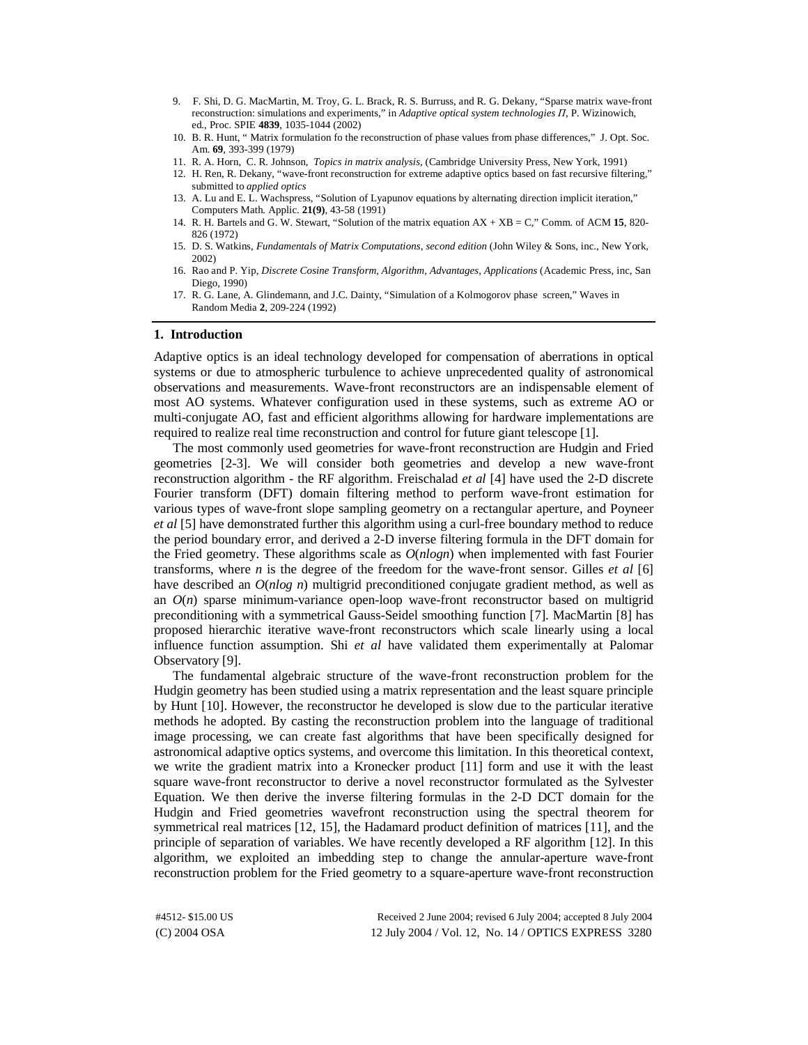- 9. F. Shi, D. G. MacMartin, M. Troy, G. L. Brack, R. S. Burruss, and R. G. Dekany, "Sparse matrix wave-front reconstruction: simulations and experiments," in *Adaptive optical system technologies II*, P. Wizinowich, ed., Proc. SPIE **4839**, 1035-1044 (2002)
- 10. B. R. Hunt, " Matrix formulation fo the reconstruction of phase values from phase differences," J. Opt. Soc. Am. **69**, 393-399 (1979)
- 11. R. A. Horn, C. R. Johnson, *Topics in matrix analysis*, (Cambridge University Press, New York, 1991)
- 12. H. Ren, R. Dekany, "wave-front reconstruction for extreme adaptive optics based on fast recursive filtering," submitted to *applied optics*
- 13. A. Lu and E. L. Wachspress, "Solution of Lyapunov equations by alternating direction implicit iteration," Computers Math. Applic. **21(9)**, 43-58 (1991)
- 14. R. H. Bartels and G. W. Stewart, "Solution of the matrix equation AX + XB = C," Comm. of ACM **15**, 820- 826 (1972)
- 15. D. S. Watkins, *Fundamentals of Matrix Computations, second edition* (John Wiley & Sons, inc., New York, 2002)
- 16. Rao and P. Yip, *Discrete Cosine Transform, Algorithm, Advantages, Applications* (Academic Press, inc, San Diego, 1990)
- 17. R. G. Lane, A. Glindemann, and J.C. Dainty, "Simulation of a Kolmogorov phase screen," Waves in Random Media **2**, 209-224 (1992)

#### **1. Introduction**

Adaptive optics is an ideal technology developed for compensation of aberrations in optical systems or due to atmospheric turbulence to achieve unprecedented quality of astronomical observations and measurements. Wave-front reconstructors are an indispensable element of most AO systems. Whatever configuration used in these systems, such as extreme AO or multi-conjugate AO, fast and efficient algorithms allowing for hardware implementations are required to realize real time reconstruction and control for future giant telescope [1].

The most commonly used geometries for wave-front reconstruction are Hudgin and Fried geometries [2-3]. We will consider both geometries and develop a new wave-front reconstruction algorithm - the RF algorithm. Freischalad *et al* [4] have used the 2-D discrete Fourier transform (DFT) domain filtering method to perform wave-front estimation for various types of wave-front slope sampling geometry on a rectangular aperture, and Poyneer *et al* [5] have demonstrated further this algorithm using a curl-free boundary method to reduce the period boundary error, and derived a 2-D inverse filtering formula in the DFT domain for the Fried geometry. These algorithms scale as *O*(*nlogn*) when implemented with fast Fourier transforms, where *n* is the degree of the freedom for the wave-front sensor. Gilles *et al* [6] have described an *O*(*nlog n*) multigrid preconditioned conjugate gradient method, as well as an  $O(n)$  sparse minimum-variance open-loop wave-front reconstructor based on multigrid preconditioning with a symmetrical Gauss-Seidel smoothing function [7]. MacMartin [8] has proposed hierarchic iterative wave-front reconstructors which scale linearly using a local influence function assumption. Shi *et al* have validated them experimentally at Palomar Observatory [9].

The fundamental algebraic structure of the wave-front reconstruction problem for the Hudgin geometry has been studied using a matrix representation and the least square principle by Hunt [10]. However, the reconstructor he developed is slow due to the particular iterative methods he adopted. By casting the reconstruction problem into the language of traditional image processing, we can create fast algorithms that have been specifically designed for astronomical adaptive optics systems, and overcome this limitation. In this theoretical context, we write the gradient matrix into a Kronecker product [11] form and use it with the least square wave-front reconstructor to derive a novel reconstructor formulated as the Sylvester Equation. We then derive the inverse filtering formulas in the 2-D DCT domain for the Hudgin and Fried geometries wavefront reconstruction using the spectral theorem for symmetrical real matrices [12, 15], the Hadamard product definition of matrices [11], and the principle of separation of variables. We have recently developed a RF algorithm [12]. In this algorithm, we exploited an imbedding step to change the annular-aperture wave-front reconstruction problem for the Fried geometry to a square-aperture wave-front reconstruction

(C) 2004 OSA 12 July 2004 / Vol. 12, No. 14 / OPTICS EXPRESS 3280 #4512- \$15.00 US Received 2 June 2004; revised 6 July 2004; accepted 8 July 2004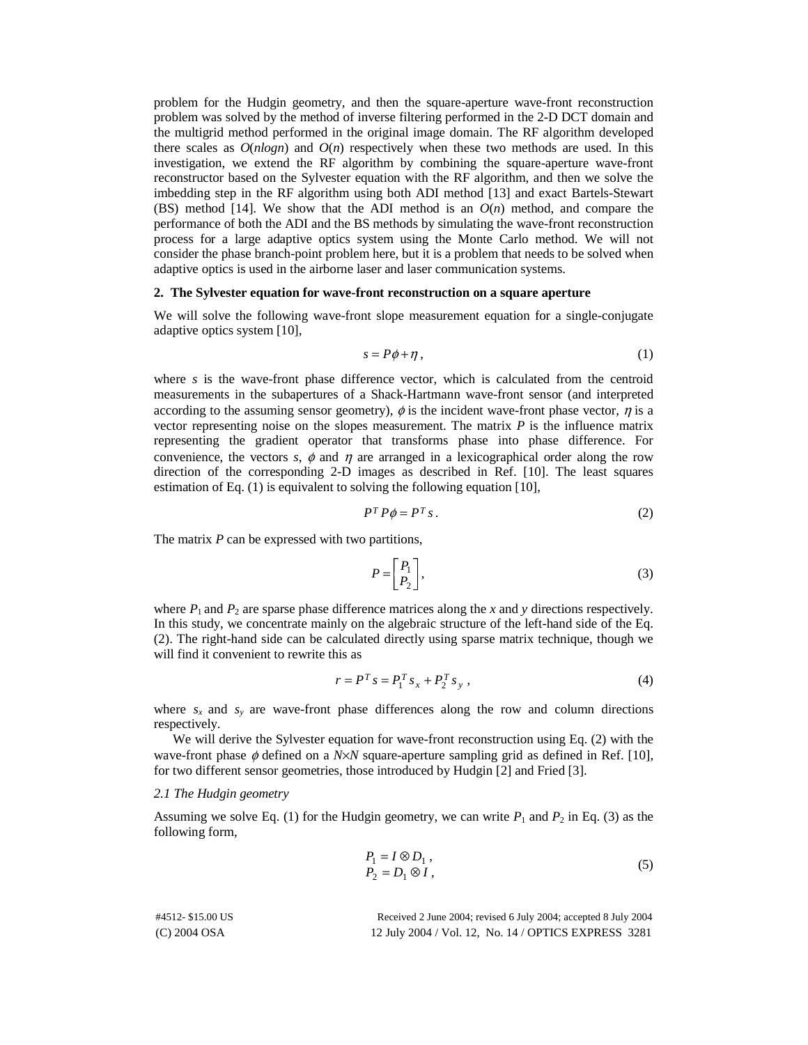problem for the Hudgin geometry, and then the square-aperture wave-front reconstruction problem was solved by the method of inverse filtering performed in the 2-D DCT domain and the multigrid method performed in the original image domain. The RF algorithm developed there scales as  $O(n \log n)$  and  $O(n)$  respectively when these two methods are used. In this investigation, we extend the RF algorithm by combining the square-aperture wave-front reconstructor based on the Sylvester equation with the RF algorithm, and then we solve the imbedding step in the RF algorithm using both ADI method [13] and exact Bartels-Stewart (BS) method [14]. We show that the ADI method is an *O*(*n*) method, and compare the performance of both the ADI and the BS methods by simulating the wave-front reconstruction process for a large adaptive optics system using the Monte Carlo method. We will not consider the phase branch-point problem here, but it is a problem that needs to be solved when adaptive optics is used in the airborne laser and laser communication systems.

#### **2. The Sylvester equation for wave-front reconstruction on a square aperture**

We will solve the following wave-front slope measurement equation for a single-conjugate adaptive optics system [10],

$$
s = P\phi + \eta \tag{1}
$$

where *s* is the wave-front phase difference vector, which is calculated from the centroid measurements in the subapertures of a Shack-Hartmann wave-front sensor (and interpreted according to the assuming sensor geometry),  $\phi$  is the incident wave-front phase vector,  $\eta$  is a vector representing noise on the slopes measurement. The matrix *P* is the influence matrix representing the gradient operator that transforms phase into phase difference. For convenience, the vectors *s*,  $\phi$  and  $\eta$  are arranged in a lexicographical order along the row direction of the corresponding 2-D images as described in Ref. [10]. The least squares estimation of Eq. (1) is equivalent to solving the following equation [10],

$$
P^T P \phi = P^T s \,. \tag{2}
$$

The matrix *P* can be expressed with two partitions,

$$
P = \begin{bmatrix} P_1 \\ P_2 \end{bmatrix},\tag{3}
$$

where  $P_1$  and  $P_2$  are sparse phase difference matrices along the *x* and *y* directions respectively. In this study, we concentrate mainly on the algebraic structure of the left-hand side of the Eq. (2). The right-hand side can be calculated directly using sparse matrix technique, though we will find it convenient to rewrite this as

$$
r = P^T s = P_1^T s_x + P_2^T s_y,
$$
 (4)

where  $s_x$  and  $s_y$  are wave-front phase differences along the row and column directions respectively.

We will derive the Sylvester equation for wave-front reconstruction using Eq. (2) with the wave-front phase φ defined on a *N*×*N* square-aperture sampling grid as defined in Ref. [10], for two different sensor geometries, those introduced by Hudgin [2] and Fried [3].

# *2.1 The Hudgin geometry*

Assuming we solve Eq. (1) for the Hudgin geometry, we can write  $P_1$  and  $P_2$  in Eq. (3) as the following form,

$$
P_1 = I \otimes D_1 ,P_2 = D_1 \otimes I , \t\t(5)
$$

| #4512-\$15.00 US | Received 2 June 2004; revised 6 July 2004; accepted 8 July 2004 |
|------------------|-----------------------------------------------------------------|
| $(C)$ 2004 OSA   | 12 July 2004 / Vol. 12, No. 14 / OPTICS EXPRESS 3281            |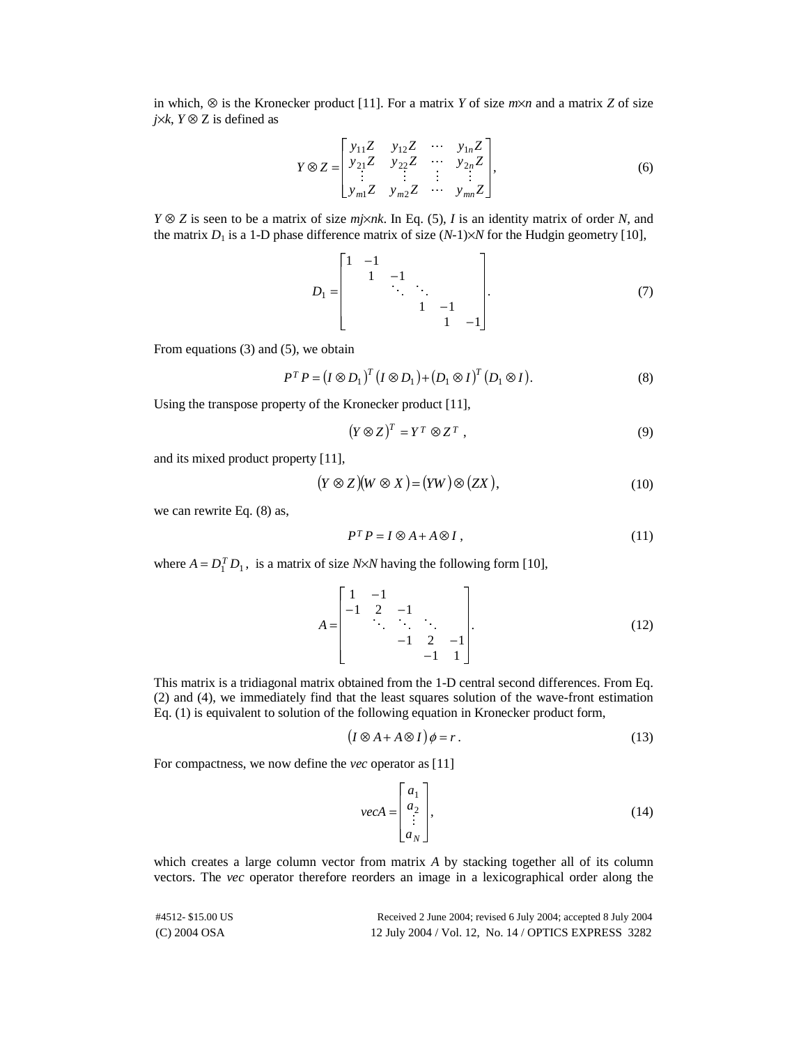in which, ⊗ is the Kronecker product [11]. For a matrix *Y* of size *m*×*n* and a matrix *Z* of size *j*×*k*,  $Y$  ⊗  $Z$  is defined as

$$
Y \otimes Z = \begin{bmatrix} y_{11}Z & y_{12}Z & \cdots & y_{1n}Z \\ y_{21}Z & y_{22}Z & \cdots & y_{2n}Z \\ \vdots & \vdots & \ddots & \vdots \\ y_{m1}Z & y_{m2}Z & \cdots & y_{mn}Z \end{bmatrix},
$$
 (6)

*Y* ⊗ *Z* is seen to be a matrix of size *mj*×*nk*. In Eq. (5), *I* is an identity matrix of order *N*, and the matrix  $D_1$  is a 1-D phase difference matrix of size  $(N-1)\times N$  for the Hudgin geometry [10],

$$
D_1 = \begin{bmatrix} 1 & -1 & & & \\ & 1 & -1 & & \\ & & \ddots & \ddots & \\ & & & 1 & -1 \\ & & & & 1 & -1 \end{bmatrix} . \tag{7}
$$

From equations (3) and (5), we obtain

$$
P^T P = (I \otimes D_1)^T (I \otimes D_1) + (D_1 \otimes I)^T (D_1 \otimes I).
$$
 (8)

Using the transpose property of the Kronecker product [11],

$$
(Y \otimes Z)^T = Y^T \otimes Z^T , \qquad (9)
$$

and its mixed product property [11],

$$
(Y \otimes Z)(W \otimes X) = (YW) \otimes (ZX), \tag{10}
$$

we can rewrite Eq. (8) as,

$$
P^T P = I \otimes A + A \otimes I, \qquad (11)
$$

where  $A = D_1^T D_1$ , is a matrix of size *N*×*N* having the following form [10],

$$
A = \begin{bmatrix} 1 & -1 & & & \\ -1 & 2 & -1 & & \\ & \ddots & \ddots & \ddots & \\ & & -1 & 2 & -1 \\ & & & -1 & 1 \end{bmatrix} .
$$
 (12)

This matrix is a tridiagonal matrix obtained from the 1-D central second differences. From Eq. (2) and (4), we immediately find that the least squares solution of the wave-front estimation Eq. (1) is equivalent to solution of the following equation in Kronecker product form,

$$
(I \otimes A + A \otimes I)\phi = r.
$$
 (13)

For compactness, we now define the *vec* operator as [11]

$$
vecA = \begin{bmatrix} a_1 \\ a_2 \\ \vdots \\ a_N \end{bmatrix},
$$
 (14)

which creates a large column vector from matrix *A* by stacking together all of its column vectors. The *vec* operator therefore reorders an image in a lexicographical order along the

| #4512- \$15.00 US | Received 2 June 2004; revised 6 July 2004; accepted 8 July 2004 |
|-------------------|-----------------------------------------------------------------|
| (C) 2004 OSA      | 12 July 2004 / Vol. 12, No. 14 / OPTICS EXPRESS 3282            |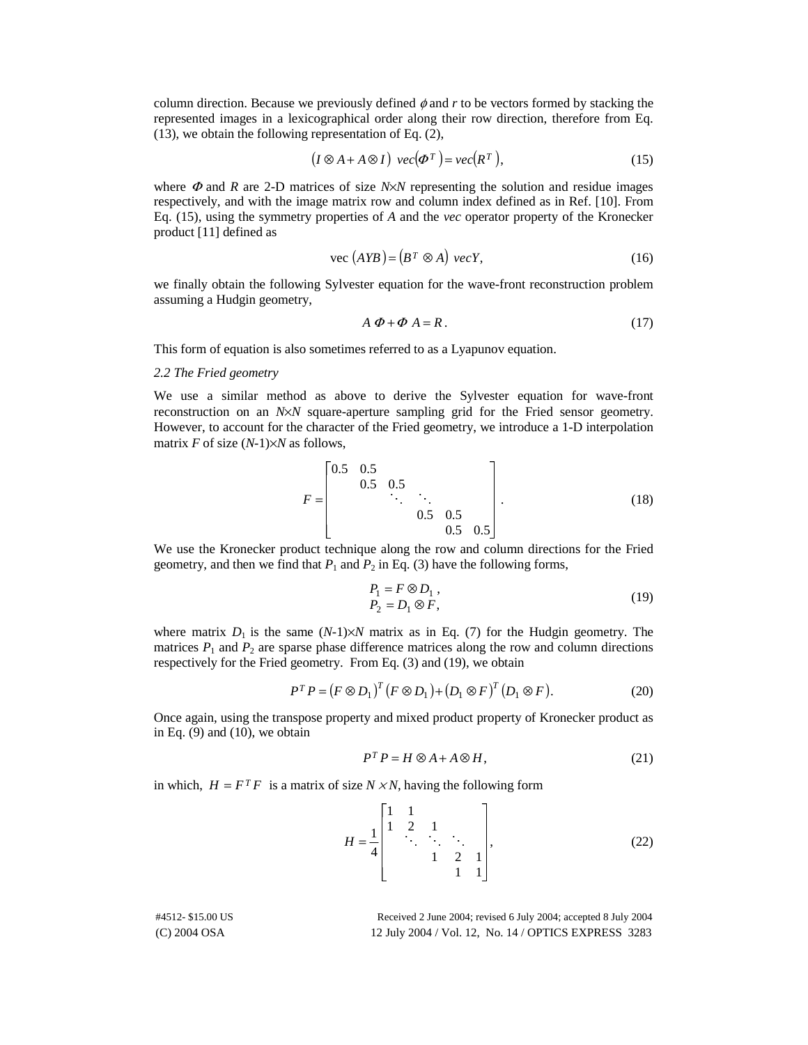column direction. Because we previously defined  $\phi$  and  $r$  to be vectors formed by stacking the represented images in a lexicographical order along their row direction, therefore from Eq. (13), we obtain the following representation of Eq. (2),

$$
(I \otimes A + A \otimes I) \ \text{vec}(\mathbf{\Phi}^T) = \text{vec}(R^T), \tag{15}
$$

where  $\Phi$  and *R* are 2-D matrices of size *N* $\times$ *N* representing the solution and residue images respectively, and with the image matrix row and column index defined as in Ref. [10]. From Eq. (15), using the symmetry properties of *A* and the *vec* operator property of the Kronecker product [11] defined as

$$
vec (AYB) = (BT \otimes A) vecY,
$$
 (16)

we finally obtain the following Sylvester equation for the wave-front reconstruction problem assuming a Hudgin geometry,

$$
A \Phi + \Phi A = R. \tag{17}
$$

This form of equation is also sometimes referred to as a Lyapunov equation.

# *2.2 The Fried geometry*

We use a similar method as above to derive the Sylvester equation for wave-front reconstruction on an *N*×*N* square-aperture sampling grid for the Fried sensor geometry. However, to account for the character of the Fried geometry, we introduce a 1-D interpolation matrix *F* of size (*N-*1)×*N* as follows,

$$
F = \begin{bmatrix} 0.5 & 0.5 & & & \\ & 0.5 & 0.5 & & \\ & & \ddots & & \\ & & & 0.5 & 0.5 \\ & & & & 0.5 & 0.5 \end{bmatrix}.
$$
 (18)

We use the Kronecker product technique along the row and column directions for the Fried geometry, and then we find that  $P_1$  and  $P_2$  in Eq. (3) have the following forms,

$$
P_1 = F \otimes D_1,
$$
  
\n
$$
P_2 = D_1 \otimes F,
$$
\n(19)

where matrix  $D_1$  is the same  $(N-1)\times N$  matrix as in Eq. (7) for the Hudgin geometry. The matrices  $P_1$  and  $P_2$  are sparse phase difference matrices along the row and column directions respectively for the Fried geometry. From Eq. (3) and (19), we obtain

$$
P^T P = (F \otimes D_1)^T (F \otimes D_1) + (D_1 \otimes F)^T (D_1 \otimes F).
$$
 (20)

Once again, using the transpose property and mixed product property of Kronecker product as in Eq.  $(9)$  and  $(10)$ , we obtain

$$
P^T P = H \otimes A + A \otimes H,\tag{21}
$$

in which,  $H = F^T F$  is a matrix of size  $N \times N$ , having the following form

$$
H = \frac{1}{4} \begin{bmatrix} 1 & 1 & & & \\ 1 & 2 & 1 & & \\ & \ddots & \ddots & \ddots & \\ & & 1 & 2 & 1 \\ & & & 1 & 1 \end{bmatrix},
$$
 (22)

(C) 2004 OSA 12 July 2004 / Vol. 12, No. 14 / OPTICS EXPRESS 3283 #4512- \$15.00 US Received 2 June 2004; revised 6 July 2004; accepted 8 July 2004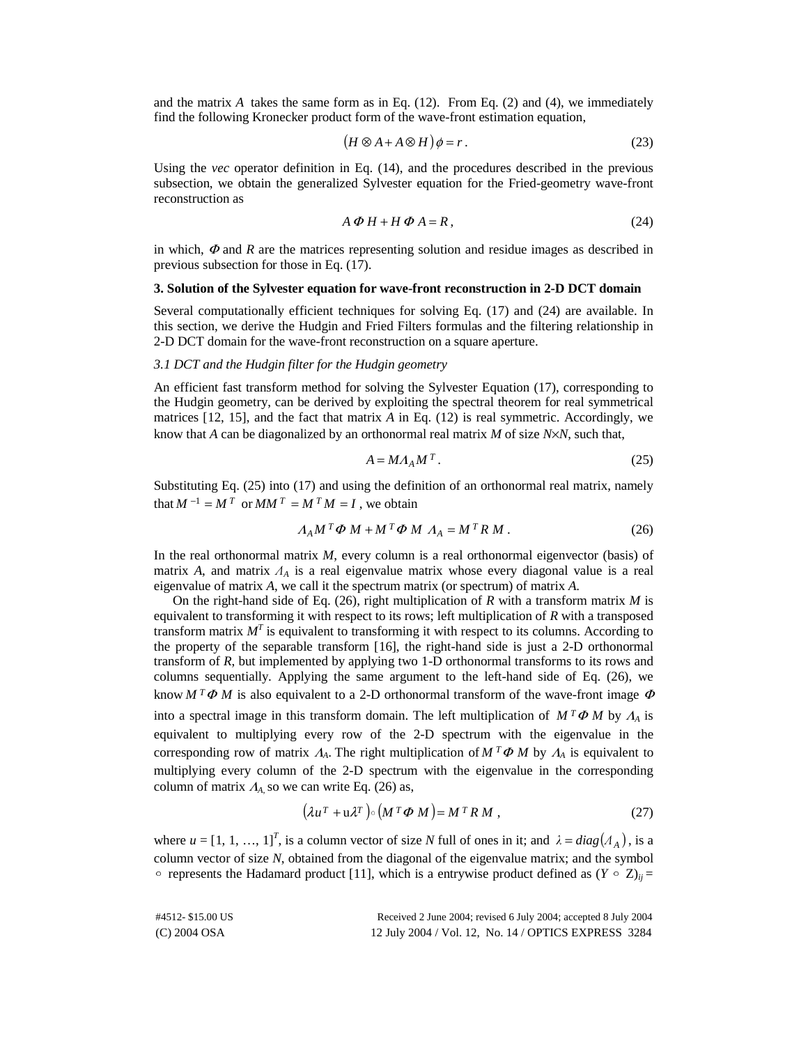and the matrix  $A$  takes the same form as in Eq.  $(12)$ . From Eq.  $(2)$  and  $(4)$ , we immediately find the following Kronecker product form of the wave-front estimation equation,

$$
(H \otimes A + A \otimes H)\phi = r.
$$
 (23)

Using the *vec* operator definition in Eq. (14), and the procedures described in the previous subsection, we obtain the generalized Sylvester equation for the Fried-geometry wave-front reconstruction as

$$
A \Phi H + H \Phi A = R, \qquad (24)
$$

in which,  $\Phi$  and  $R$  are the matrices representing solution and residue images as described in previous subsection for those in Eq. (17).

#### **3. Solution of the Sylvester equation for wave-front reconstruction in 2-D DCT domain**

Several computationally efficient techniques for solving Eq. (17) and (24) are available. In this section, we derive the Hudgin and Fried Filters formulas and the filtering relationship in 2-D DCT domain for the wave-front reconstruction on a square aperture.

# *3.1 DCT and the Hudgin filter for the Hudgin geometry*

An efficient fast transform method for solving the Sylvester Equation (17), corresponding to the Hudgin geometry, can be derived by exploiting the spectral theorem for real symmetrical matrices [12, 15], and the fact that matrix *A* in Eq. (12) is real symmetric. Accordingly, we know that *A* can be diagonalized by an orthonormal real matrix *M* of size *N*×*N*, such that,

$$
A = M A_A M^T. \tag{25}
$$

Substituting Eq. (25) into (17) and using the definition of an orthonormal real matrix, namely that  $M^{-1} = M^T$  or  $MM^T = M^T M = I$ , we obtain

$$
A_A M^T \Phi M + M^T \Phi M A_A = M^T R M . \qquad (26)
$$

In the real orthonormal matrix *M*, every column is a real orthonormal eigenvector (basis) of matrix *A*, and matrix  $A_A$  is a real eigenvalue matrix whose every diagonal value is a real eigenvalue of matrix *A*, we call it the spectrum matrix (or spectrum) of matrix *A*.

On the right-hand side of Eq. (26), right multiplication of *R* with a transform matrix *M* is equivalent to transforming it with respect to its rows; left multiplication of *R* with a transposed transform matrix  $M<sup>T</sup>$  is equivalent to transforming it with respect to its columns. According to the property of the separable transform [16], the right-hand side is just a 2-D orthonormal transform of *R*, but implemented by applying two 1-D orthonormal transforms to its rows and columns sequentially. Applying the same argument to the left-hand side of Eq. (26), we know  $M^T \Phi M$  is also equivalent to a 2-D orthonormal transform of the wave-front image  $\Phi$ into a spectral image in this transform domain. The left multiplication of  $M^T\Phi M$  by  $A_A$  is equivalent to multiplying every row of the 2-D spectrum with the eigenvalue in the corresponding row of matrix  $\Lambda_A$ . The right multiplication of  $M^T \Phi M$  by  $\Lambda_A$  is equivalent to multiplying every column of the 2-D spectrum with the eigenvalue in the corresponding column of matrix  $A_A$ , so we can write Eq. (26) as,

$$
\left(\lambda u^T + u\lambda^T\right) \circ \left(M^T\Phi M\right) = M^T R M , \qquad (27)
$$

where  $u = [1, 1, ..., 1]^T$ , is a column vector of size *N* full of ones in it; and  $\lambda = diag(A_A)$ , is a column vector of size *M* obtained from the discovered of the size well as expected. column vector of size *N*, obtained from the diagonal of the eigenvalue matrix; and the symbol  $\circ$  represents the Hadamard product [11], which is a entrywise product defined as  $(Y \circ Z)_{ij} =$ 

| #4512-\$15.00 US | Received 2 June 2004; revised 6 July 2004; accepted 8 July 2004 |
|------------------|-----------------------------------------------------------------|
| (C) 2004 OSA     | 12 July 2004 / Vol. 12, No. 14 / OPTICS EXPRESS 3284            |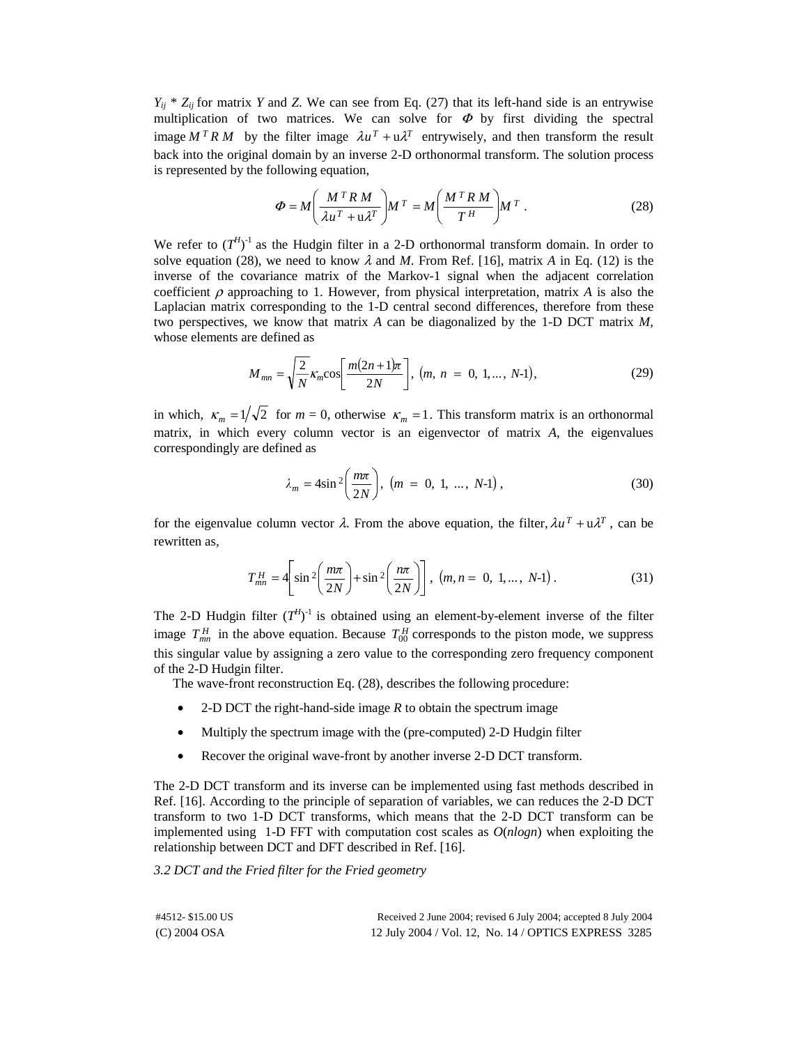$Y_{ij}$ <sup>\*</sup>  $Z_{ij}$  for matrix *Y* and *Z*. We can see from Eq. (27) that its left-hand side is an entrywise multiplication of two matrices. We can solve for  $\Phi$  by first dividing the spectral image  $M^T R M$  by the filter image  $\lambda u^T + u \lambda^T$  entrywisely, and then transform the result back into the original domain by an inverse 2-D orthonormal transform. The solution process is represented by the following equation,

$$
\Phi = M \left( \frac{M^T R M}{\lambda u^T + u \lambda^T} \right) M^T = M \left( \frac{M^T R M}{T^H} \right) M^T.
$$
 (28)

We refer to  $(T^{H})^{-1}$  as the Hudgin filter in a 2-D orthonormal transform domain. In order to solve equation (28), we need to know  $\lambda$  and *M*. From Ref. [16], matrix *A* in Eq. (12) is the inverse of the covariance matrix of the Markov-1 signal when the adjacent correlation coefficient  $\rho$  approaching to 1. However, from physical interpretation, matrix A is also the Laplacian matrix corresponding to the 1-D central second differences, therefore from these two perspectives, we know that matrix *A* can be diagonalized by the 1-D DCT matrix *M,* whose elements are defined as

$$
M_{mn} = \sqrt{\frac{2}{N}} \kappa_m \cos \left[ \frac{m(2n+1)\pi}{2N} \right], (m, n = 0, 1, ..., N-1), \tag{29}
$$

in which,  $\kappa_m = 1/\sqrt{2}$  for  $m = 0$ , otherwise  $\kappa_m = 1$ . This transform matrix is an orthonormal matrix, in which every column vector is an eigenvector of matrix *A*, the eigenvalues correspondingly are defined as

$$
\lambda_m = 4\sin^2\left(\frac{m\pi}{2N}\right), \ (m = 0, 1, ..., N-1), \tag{30}
$$

for the eigenvalue column vector  $\lambda$ . From the above equation, the filter,  $\lambda u^T + u\lambda^T$ , can be rewritten as,

$$
T_{mn}^H = 4 \left[ \sin^2 \left( \frac{m\pi}{2N} \right) + \sin^2 \left( \frac{n\pi}{2N} \right) \right], (m, n = 0, 1, ..., N-1).
$$
 (31)

The 2-D Hudgin filter  $(T^{H})^{-1}$  is obtained using an element-by-element inverse of the filter image  $T_{mn}^H$  in the above equation. Because  $T_{00}^H$  corresponds to the piston mode, we suppress this singular value by assigning a zero value to the corresponding zero frequency component of the 2-D Hudgin filter.

The wave-front reconstruction Eq. (28), describes the following procedure:

- 2-D DCT the right-hand-side image *R* to obtain the spectrum image
- Multiply the spectrum image with the (pre-computed) 2-D Hudgin filter
- Recover the original wave-front by another inverse 2-D DCT transform.

The 2-D DCT transform and its inverse can be implemented using fast methods described in Ref. [16]. According to the principle of separation of variables, we can reduces the 2-D DCT transform to two 1-D DCT transforms, which means that the 2-D DCT transform can be implemented using 1-D FFT with computation cost scales as *O*(*nlogn*) when exploiting the relationship between DCT and DFT described in Ref. [16].

*3.2 DCT and the Fried filter for the Fried geometry* 

| #4512-\$15.00 US | Received 2 June 2004; revised 6 July 2004; accepted 8 July 2004 |
|------------------|-----------------------------------------------------------------|
| $(C)$ 2004 OSA   | 12 July 2004 / Vol. 12, No. 14 / OPTICS EXPRESS 3285            |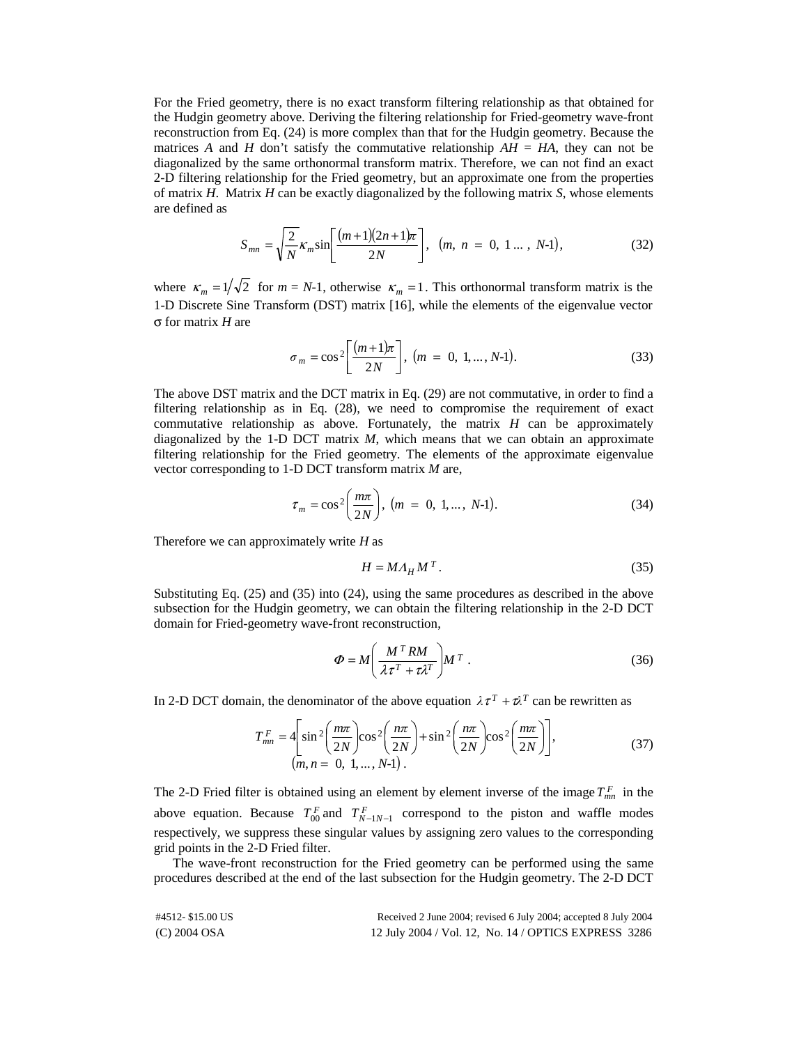For the Fried geometry, there is no exact transform filtering relationship as that obtained for the Hudgin geometry above. Deriving the filtering relationship for Fried-geometry wave-front reconstruction from Eq. (24) is more complex than that for the Hudgin geometry. Because the matrices *A* and *H* don't satisfy the commutative relationship  $AH = HA$ , they can not be diagonalized by the same orthonormal transform matrix. Therefore, we can not find an exact 2-D filtering relationship for the Fried geometry, but an approximate one from the properties of matrix *H*. Matrix *H* can be exactly diagonalized by the following matrix *S*, whose elements are defined as

$$
S_{mn} = \sqrt{\frac{2}{N}} \kappa_m \sin \left[ \frac{(m+1)(2n+1)\pi}{2N} \right], \ (m, n = 0, 1 ... , N-1), \tag{32}
$$

where  $\kappa_m = 1/\sqrt{2}$  for  $m = N-1$ , otherwise  $\kappa_m = 1$ . This orthonormal transform matrix is the 1-D Discrete Sine Transform (DST) matrix [16], while the elements of the eigenvalue vector σ for matrix *H* are

$$
\sigma_m = \cos^2 \left[ \frac{(m+1)\pi}{2N} \right], \ (m = 0, 1, ..., N-1).
$$
 (33)

The above DST matrix and the DCT matrix in Eq. (29) are not commutative, in order to find a filtering relationship as in Eq. (28), we need to compromise the requirement of exact commutative relationship as above. Fortunately, the matrix  $H$  can be approximately diagonalized by the 1-D DCT matrix *M*, which means that we can obtain an approximate filtering relationship for the Fried geometry. The elements of the approximate eigenvalue vector corresponding to 1-D DCT transform matrix *M* are,

$$
\tau_m = \cos^2\left(\frac{m\pi}{2N}\right), \ (m = 0, 1, ..., N-1). \tag{34}
$$

Therefore we can approximately write *H* as

$$
H = M A_H M^T. \tag{35}
$$

Substituting Eq. (25) and (35) into (24), using the same procedures as described in the above subsection for the Hudgin geometry, we can obtain the filtering relationship in the 2-D DCT domain for Fried-geometry wave-front reconstruction,

$$
\Phi = M \left( \frac{M^T RM}{\lambda \tau^T + \tau \lambda^T} \right) M^T . \tag{36}
$$

In 2-D DCT domain, the denominator of the above equation  $\lambda \tau^{T} + \tau \lambda^{T}$  can be rewritten as

$$
T_{mn}^F = 4 \left[ \sin^2 \left( \frac{m\pi}{2N} \right) \cos^2 \left( \frac{n\pi}{2N} \right) + \sin^2 \left( \frac{n\pi}{2N} \right) \cos^2 \left( \frac{m\pi}{2N} \right) \right],
$$
  
(m, n = 0, 1, ..., N-1). (37)

The 2-D Fried filter is obtained using an element by element inverse of the image  $T_{mn}^F$  in the above equation. Because  $T_{00}^F$  and  $T_{N-1N-1}^F$  correspond to the piston and waffle modes respectively, we suppress these singular values by assigning zero values to the corresponding grid points in the 2-D Fried filter.

The wave-front reconstruction for the Fried geometry can be performed using the same procedures described at the end of the last subsection for the Hudgin geometry. The 2-D DCT

| #4512-\$15.00 US | Received 2 June 2004; revised 6 July 2004; accepted 8 July 2004 |
|------------------|-----------------------------------------------------------------|
| $(C)$ 2004 OSA   | 12 July 2004 / Vol. 12, No. 14 / OPTICS EXPRESS 3286            |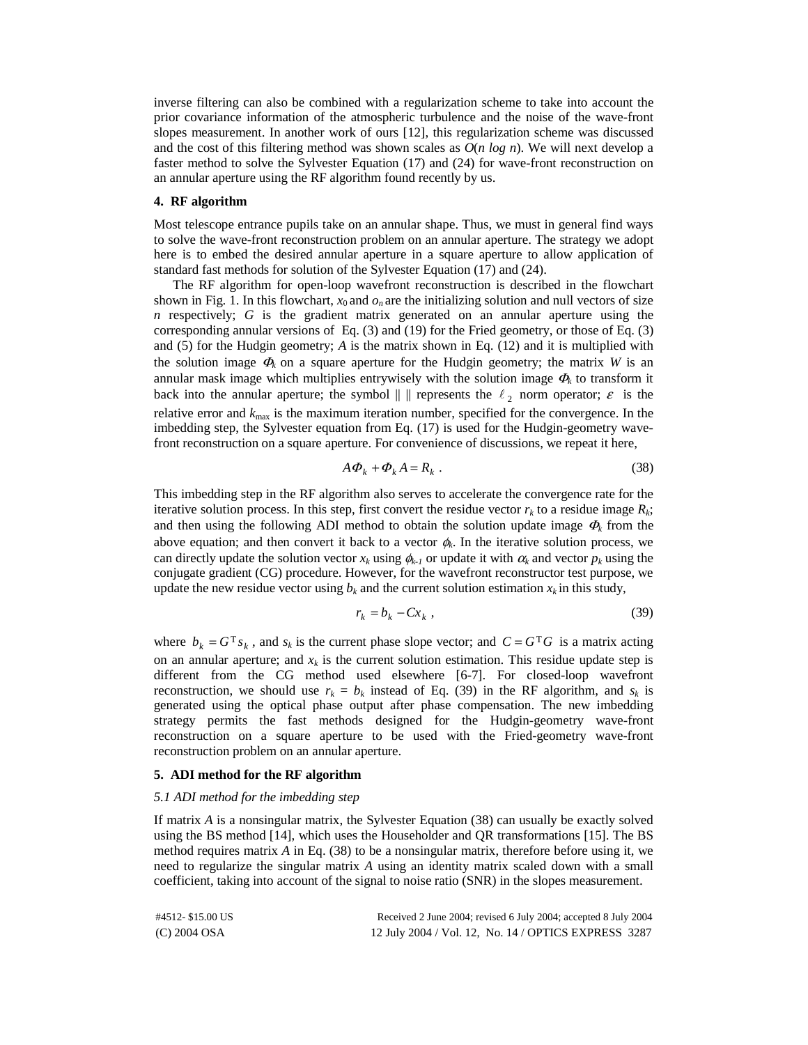inverse filtering can also be combined with a regularization scheme to take into account the prior covariance information of the atmospheric turbulence and the noise of the wave-front slopes measurement. In another work of ours [12], this regularization scheme was discussed and the cost of this filtering method was shown scales as *O*(*n log n*). We will next develop a faster method to solve the Sylvester Equation (17) and (24) for wave-front reconstruction on an annular aperture using the RF algorithm found recently by us.

## **4. RF algorithm**

Most telescope entrance pupils take on an annular shape. Thus, we must in general find ways to solve the wave-front reconstruction problem on an annular aperture. The strategy we adopt here is to embed the desired annular aperture in a square aperture to allow application of standard fast methods for solution of the Sylvester Equation (17) and (24).

The RF algorithm for open-loop wavefront reconstruction is described in the flowchart shown in Fig. 1. In this flowchart,  $x_0$  and  $o_n$  are the initializing solution and null vectors of size *n* respectively; *G* is the gradient matrix generated on an annular aperture using the corresponding annular versions of Eq. (3) and (19) for the Fried geometry, or those of Eq. (3) and (5) for the Hudgin geometry; *A* is the matrix shown in Eq. (12) and it is multiplied with the solution image  $\Phi_k$  on a square aperture for the Hudgin geometry; the matrix *W* is an annular mask image which multiplies entrywisely with the solution image  $\Phi_k$  to transform it back into the annular aperture; the symbol  $|| \cdot ||$  represents the  $\ell_2$  norm operator;  $\varepsilon$  is the relative error and  $k_{\text{max}}$  is the maximum iteration number, specified for the convergence. In the imbedding step, the Sylvester equation from Eq. (17) is used for the Hudgin-geometry wavefront reconstruction on a square aperture. For convenience of discussions, we repeat it here,

$$
A\Phi_k + \Phi_k A = R_k \tag{38}
$$

This imbedding step in the RF algorithm also serves to accelerate the convergence rate for the iterative solution process. In this step, first convert the residue vector  $r_k$  to a residue image  $R_k$ ; and then using the following ADI method to obtain the solution update image  $\Phi_k$  from the above equation; and then convert it back to a vector  $\phi_k$ . In the iterative solution process, we can directly update the solution vector  $x_k$  using  $\phi_{k-1}$  or update it with  $\alpha_k$  and vector  $p_k$  using the conjugate gradient (CG) procedure. However, for the wavefront reconstructor test purpose, we update the new residue vector using  $b_k$  and the current solution estimation  $x_k$  in this study,

$$
r_k = b_k - Cx_k \t\t(39)
$$

where  $b_k = G^T s_k$ , and  $s_k$  is the current phase slope vector; and  $C = G^T G$  is a matrix acting on an annular aperture; and  $x_k$  is the current solution estimation. This residue update step is different from the CG method used elsewhere [6-7]. For closed-loop wavefront reconstruction, we should use  $r_k = b_k$  instead of Eq. (39) in the RF algorithm, and  $s_k$  is generated using the optical phase output after phase compensation. The new imbedding strategy permits the fast methods designed for the Hudgin-geometry wave-front reconstruction on a square aperture to be used with the Fried-geometry wave-front reconstruction problem on an annular aperture.

#### **5. ADI method for the RF algorithm**

## *5.1 ADI method for the imbedding step*

If matrix *A* is a nonsingular matrix, the Sylvester Equation (38) can usually be exactly solved using the BS method [14], which uses the Householder and QR transformations [15]. The BS method requires matrix *A* in Eq. (38) to be a nonsingular matrix, therefore before using it, we need to regularize the singular matrix *A* using an identity matrix scaled down with a small coefficient, taking into account of the signal to noise ratio (SNR) in the slopes measurement.

| #4512-\$15.00 US | Received 2 June 2004; revised 6 July 2004; accepted 8 July 2004 |
|------------------|-----------------------------------------------------------------|
| $(C)$ 2004 OSA   | 12 July 2004 / Vol. 12, No. 14 / OPTICS EXPRESS 3287            |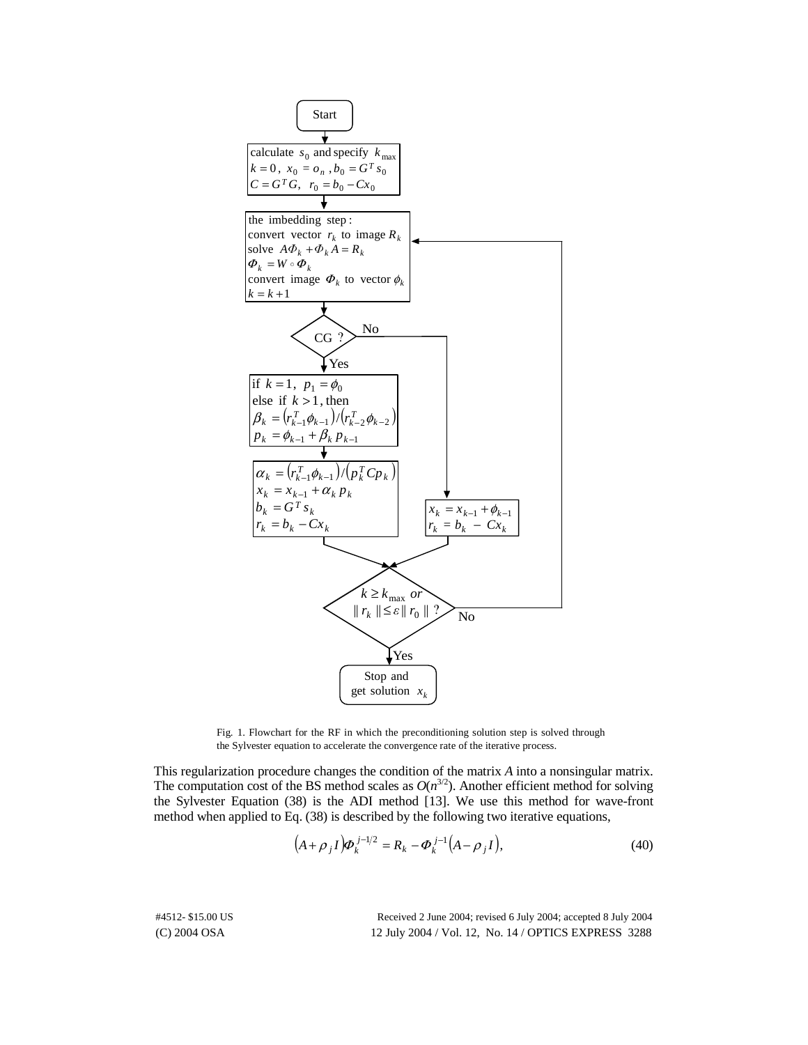

Fig. 1. Flowchart for the RF in which the preconditioning solution step is solved through the Sylvester equation to accelerate the convergence rate of the iterative process.

This regularization procedure changes the condition of the matrix *A* into a nonsingular matrix. The computation cost of the BS method scales as  $O(n^{3/2})$ . Another efficient method for solving the Sylvester Equation (38) is the ADI method [13]. We use this method for wave-front method when applied to Eq. (38) is described by the following two iterative equations,

$$
(A + \rho_j I)\phi_k^{j-1/2} = R_k - \phi_k^{j-1}(A - \rho_j I),
$$
\n(40)

(C) 2004 OSA 12 July 2004 / Vol. 12, No. 14 / OPTICS EXPRESS 3288 #4512- \$15.00 US Received 2 June 2004; revised 6 July 2004; accepted 8 July 2004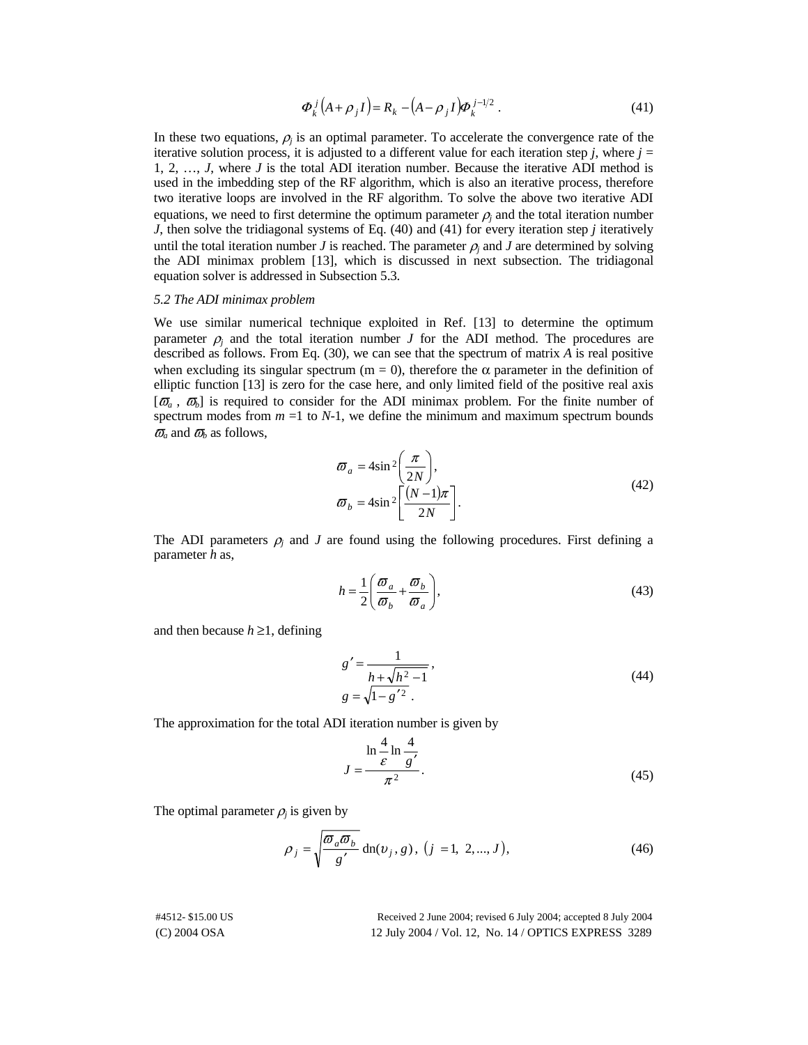$$
\boldsymbol{\varPhi}_k^j(A+\rho_j I) = \boldsymbol{R}_k - (A-\rho_j I)\boldsymbol{\varPhi}_k^{j-1/2} \ . \tag{41}
$$

In these two equations,  $\rho_i$  is an optimal parameter. To accelerate the convergence rate of the iterative solution process, it is adjusted to a different value for each iteration step *j*, where  $j =$ 1, 2, …, *J*, where *J* is the total ADI iteration number. Because the iterative ADI method is used in the imbedding step of the RF algorithm, which is also an iterative process, therefore two iterative loops are involved in the RF algorithm. To solve the above two iterative ADI equations, we need to first determine the optimum parameter  $\rho_i$  and the total iteration number *J*, then solve the tridiagonal systems of Eq. (40) and (41) for every iteration step *j* iteratively until the total iteration number *J* is reached. The parameter  $\rho_i$  and *J* are determined by solving the ADI minimax problem [13], which is discussed in next subsection. The tridiagonal equation solver is addressed in Subsection 5.3.

## *5.2 The ADI minimax problem*

We use similar numerical technique exploited in Ref. [13] to determine the optimum parameter  $\rho_i$  and the total iteration number *J* for the ADI method. The procedures are described as follows. From Eq. (30), we can see that the spectrum of matrix *A* is real positive when excluding its singular spectrum (m = 0), therefore the  $\alpha$  parameter in the definition of elliptic function [13] is zero for the case here, and only limited field of the positive real axis  $[\vec{\omega}_a, \vec{\omega}_b]$  is required to consider for the ADI minimax problem. For the finite number of spectrum modes from  $m =1$  to  $N-1$ , we define the minimum and maximum spectrum bounds  $\overline{\omega}_a$  and  $\overline{\omega}_b$  as follows,

$$
\begin{aligned}\n\varpi_a &= 4\sin^2\left(\frac{\pi}{2N}\right), \\
\varpi_b &= 4\sin^2\left[\frac{(N-1)\pi}{2N}\right].\n\end{aligned}
$$
\n(42)

The ADI parameters  $\rho_i$  and *J* are found using the following procedures. First defining a parameter *h* as,

$$
h = \frac{1}{2} \left( \frac{\varpi_a}{\varpi_b} + \frac{\varpi_b}{\varpi_a} \right),\tag{43}
$$

and then because  $h \geq 1$ , defining

$$
g' = \frac{1}{h + \sqrt{h^2 - 1}},
$$
  
 
$$
g = \sqrt{1 - g'^2}.
$$
 (44)

The approximation for the total ADI iteration number is given by

$$
J = \frac{\ln \frac{4}{\varepsilon} \ln \frac{4}{g'}}{\pi^2}.
$$
 (45)

The optimal parameter  $\rho_i$  is given by

$$
\rho_j = \sqrt{\frac{\omega_a \omega_b}{g'}} \operatorname{dn}(v_j, g), (j = 1, 2, ..., J), \tag{46}
$$

(C) 2004 OSA 12 July 2004 / Vol. 12, No. 14 / OPTICS EXPRESS 3289 #4512- \$15.00 US Received 2 June 2004; revised 6 July 2004; accepted 8 July 2004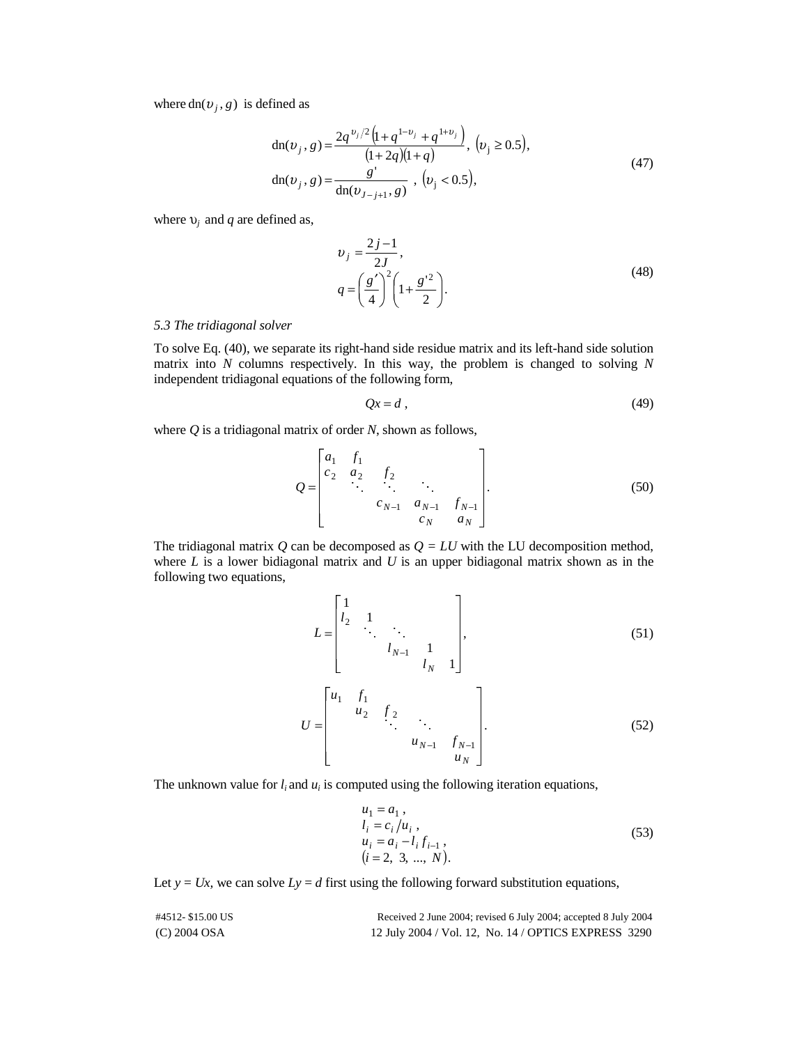where  $dn(v_j, g)$  is defined as

$$
dn(v_j, g) = \frac{2q^{v_j/2} (1 + q^{1-v_j} + q^{1+v_j})}{(1 + 2q)(1 + q)}, (v_j \ge 0.5),
$$
  
\n
$$
dn(v_j, g) = \frac{g'}{dn(v_{J-j+1}, g)}, (v_j < 0.5),
$$
\n(47)

where  $v_j$  and *q* are defined as,

$$
v_j = \frac{2j-1}{2J},
$$
  
\n
$$
q = \left(\frac{g'}{4}\right)^2 \left(1 + \frac{g'^2}{2}\right).
$$
\n(48)

# *5.3 The tridiagonal solver*

To solve Eq. (40), we separate its right-hand side residue matrix and its left-hand side solution matrix into *N* columns respectively. In this way, the problem is changed to solving *N* independent tridiagonal equations of the following form,

$$
Qx = d \tag{49}
$$

where *Q* is a tridiagonal matrix of order *N*, shown as follows,

$$
Q = \begin{bmatrix} a_1 & f_1 \\ c_2 & a_2 & f_2 \\ & \ddots & \ddots & \ddots \\ & & c_{N-1} & a_{N-1} & f_{N-1} \\ & & & c_N & a_N \end{bmatrix} .
$$
 (50)

The tridiagonal matrix  $Q$  can be decomposed as  $Q = LU$  with the LU decomposition method, where *L* is a lower bidiagonal matrix and *U* is an upper bidiagonal matrix shown as in the following two equations,

$$
L = \begin{bmatrix} 1 & & & & \\ l_2 & 1 & & & \\ & & \ddots & & \\ & & l_{N-1} & 1 & \\ & & & l_N & 1 \end{bmatrix},
$$
(51)  

$$
U = \begin{bmatrix} u_1 & f_1 & & & \\ & u_2 & f_2 & & \\ & & \ddots & & \\ & & & u_{N-1} & f_{N-1} \\ & & & & u_N \end{bmatrix}.
$$
(52)

The unknown value for  $l_i$  and  $u_i$  is computed using the following iteration equations,

$$
u1 = a1,\n li = ci/ui,\n ui = ai - lifi-1,\n (i = 2, 3, ..., N).
$$
\n(53)

Let  $y = Ux$ , we can solve  $Ly = d$  first using the following forward substitution equations,

| #4512-\$15.00 US | Received 2 June 2004; revised 6 July 2004; accepted 8 July 2004 |
|------------------|-----------------------------------------------------------------|
| $(C)$ 2004 OSA   | 12 July 2004 / Vol. 12, No. 14 / OPTICS EXPRESS 3290            |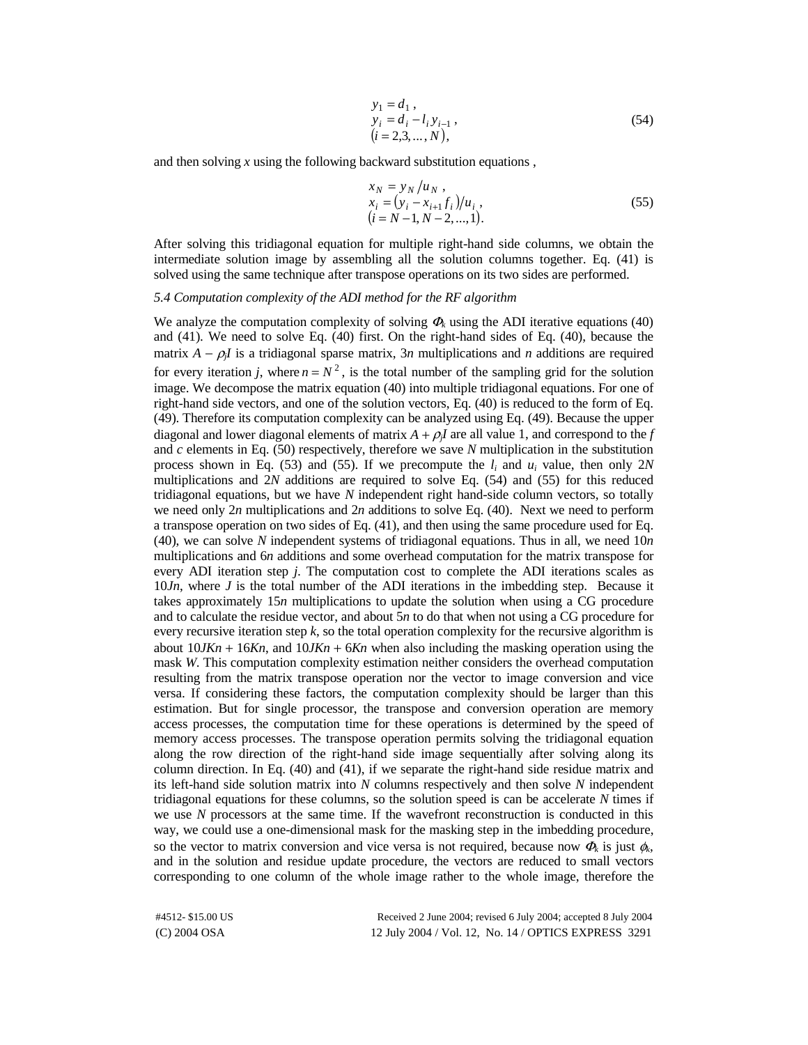$$
y_1 = d_1 ,\n y_i = d_i - l_i y_{i-1} ,\n (i = 2,3,..., N),
$$
\n(54)

and then solving *x* using the following backward substitution equations ,

$$
x_N = y_N/u_N, \n x_i = (y_i - x_{i+1}f_i)/u_i, \n (i = N-1, N-2, ..., 1).
$$
\n(55)

After solving this tridiagonal equation for multiple right-hand side columns, we obtain the intermediate solution image by assembling all the solution columns together. Eq. (41) is solved using the same technique after transpose operations on its two sides are performed.

# *5.4 Computation complexity of the ADI method for the RF algorithm*

We analyze the computation complexity of solving <sup>Φ</sup>*k* using the ADI iterative equations (40) and (41). We need to solve Eq. (40) first. On the right-hand sides of Eq. (40), because the matrix  $A - \rho_i I$  is a tridiagonal sparse matrix, 3*n* multiplications and *n* additions are required for every iteration *i*, where  $n = N^2$ , is the total number of the sampling grid for the solution image. We decompose the matrix equation (40) into multiple tridiagonal equations. For one of right-hand side vectors, and one of the solution vectors, Eq. (40) is reduced to the form of Eq. (49). Therefore its computation complexity can be analyzed using Eq. (49). Because the upper diagonal and lower diagonal elements of matrix  $A + \rho_i I$  are all value 1, and correspond to the *f* and *c* elements in Eq. (50) respectively, therefore we save *N* multiplication in the substitution process shown in Eq. (53) and (55). If we precompute the  $l_i$  and  $u_i$  value, then only 2*N* multiplications and 2*N* additions are required to solve Eq. (54) and (55) for this reduced tridiagonal equations, but we have *N* independent right hand-side column vectors, so totally we need only 2*n* multiplications and 2*n* additions to solve Eq. (40). Next we need to perform a transpose operation on two sides of Eq. (41), and then using the same procedure used for Eq. (40), we can solve *N* independent systems of tridiagonal equations. Thus in all, we need 10*n* multiplications and 6*n* additions and some overhead computation for the matrix transpose for every ADI iteration step *j.* The computation cost to complete the ADI iterations scales as 10*Jn*, where *J* is the total number of the ADI iterations in the imbedding step. Because it takes approximately 15*n* multiplications to update the solution when using a CG procedure and to calculate the residue vector, and about 5*n* to do that when not using a CG procedure for every recursive iteration step *k*, so the total operation complexity for the recursive algorithm is about  $10JKn + 16Kn$ , and  $10JKn + 6Kn$  when also including the masking operation using the mask *W*. This computation complexity estimation neither considers the overhead computation resulting from the matrix transpose operation nor the vector to image conversion and vice versa. If considering these factors, the computation complexity should be larger than this estimation. But for single processor, the transpose and conversion operation are memory access processes, the computation time for these operations is determined by the speed of memory access processes. The transpose operation permits solving the tridiagonal equation along the row direction of the right-hand side image sequentially after solving along its column direction. In Eq. (40) and (41), if we separate the right-hand side residue matrix and its left-hand side solution matrix into *N* columns respectively and then solve *N* independent tridiagonal equations for these columns, so the solution speed is can be accelerate *N* times if we use *N* processors at the same time. If the wavefront reconstruction is conducted in this way, we could use a one-dimensional mask for the masking step in the imbedding procedure, so the vector to matrix conversion and vice versa is not required, because now  $\Phi_k$  is just  $\phi_k$ , and in the solution and residue update procedure, the vectors are reduced to small vectors corresponding to one column of the whole image rather to the whole image, therefore the

(C) 2004 OSA 12 July 2004 / Vol. 12, No. 14 / OPTICS EXPRESS 3291 #4512- \$15.00 US Received 2 June 2004; revised 6 July 2004; accepted 8 July 2004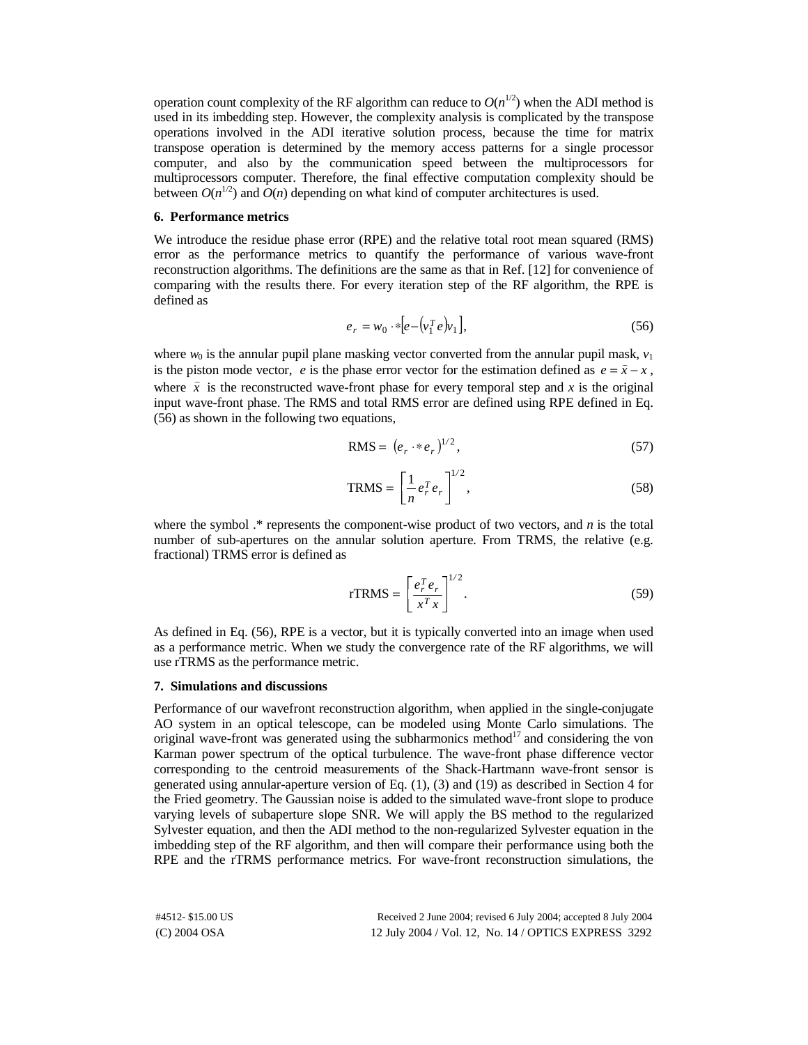operation count complexity of the RF algorithm can reduce to  $O(n^{1/2})$  when the ADI method is used in its imbedding step. However, the complexity analysis is complicated by the transpose operations involved in the ADI iterative solution process, because the time for matrix transpose operation is determined by the memory access patterns for a single processor computer, and also by the communication speed between the multiprocessors for multiprocessors computer. Therefore, the final effective computation complexity should be between  $O(n^{1/2})$  and  $O(n)$  depending on what kind of computer architectures is used.

# **6. Performance metrics**

We introduce the residue phase error (RPE) and the relative total root mean squared (RMS) error as the performance metrics to quantify the performance of various wave-front reconstruction algorithms. The definitions are the same as that in Ref. [12] for convenience of comparing with the results there. For every iteration step of the RF algorithm, the RPE is defined as

$$
e_r = w_0 \cdot * [e - (v_1^T e)v_1], \tag{56}
$$

where  $w_0$  is the annular pupil plane masking vector converted from the annular pupil mask,  $v_1$ is the piston mode vector, *e* is the phase error vector for the estimation defined as  $e = \hat{x} - x$ , where  $\hat{x}$  is the reconstructed wave-front phase for every temporal step and *x* is the original input wave-front phase. The RMS and total RMS error are defined using RPE defined in Eq. (56) as shown in the following two equations,

$$
RMS = (e_r \cdot * e_r)^{1/2},\tag{57}
$$

$$
TRMS = \left[\frac{1}{n}e_r^T e_r\right]^{1/2},\tag{58}
$$

where the symbol .\* represents the component-wise product of two vectors, and *n* is the total number of sub-apertures on the annular solution aperture. From TRMS, the relative (e.g. fractional) TRMS error is defined as

$$
rTRMS = \left[\frac{e_r^T e_r}{x^T x}\right]^{1/2}.
$$
\n(59)

As defined in Eq. (56), RPE is a vector, but it is typically converted into an image when used as a performance metric. When we study the convergence rate of the RF algorithms, we will use rTRMS as the performance metric.

#### **7. Simulations and discussions**

Performance of our wavefront reconstruction algorithm, when applied in the single-conjugate AO system in an optical telescope, can be modeled using Monte Carlo simulations. The original wave-front was generated using the subharmonics method $^{17}$  and considering the von Karman power spectrum of the optical turbulence. The wave-front phase difference vector corresponding to the centroid measurements of the Shack-Hartmann wave-front sensor is generated using annular-aperture version of Eq. (1), (3) and (19) as described in Section 4 for the Fried geometry. The Gaussian noise is added to the simulated wave-front slope to produce varying levels of subaperture slope SNR. We will apply the BS method to the regularized Sylvester equation, and then the ADI method to the non-regularized Sylvester equation in the imbedding step of the RF algorithm, and then will compare their performance using both the RPE and the rTRMS performance metrics. For wave-front reconstruction simulations, the

(C) 2004 OSA 12 July 2004 / Vol. 12, No. 14 / OPTICS EXPRESS 3292 #4512- \$15.00 US Received 2 June 2004; revised 6 July 2004; accepted 8 July 2004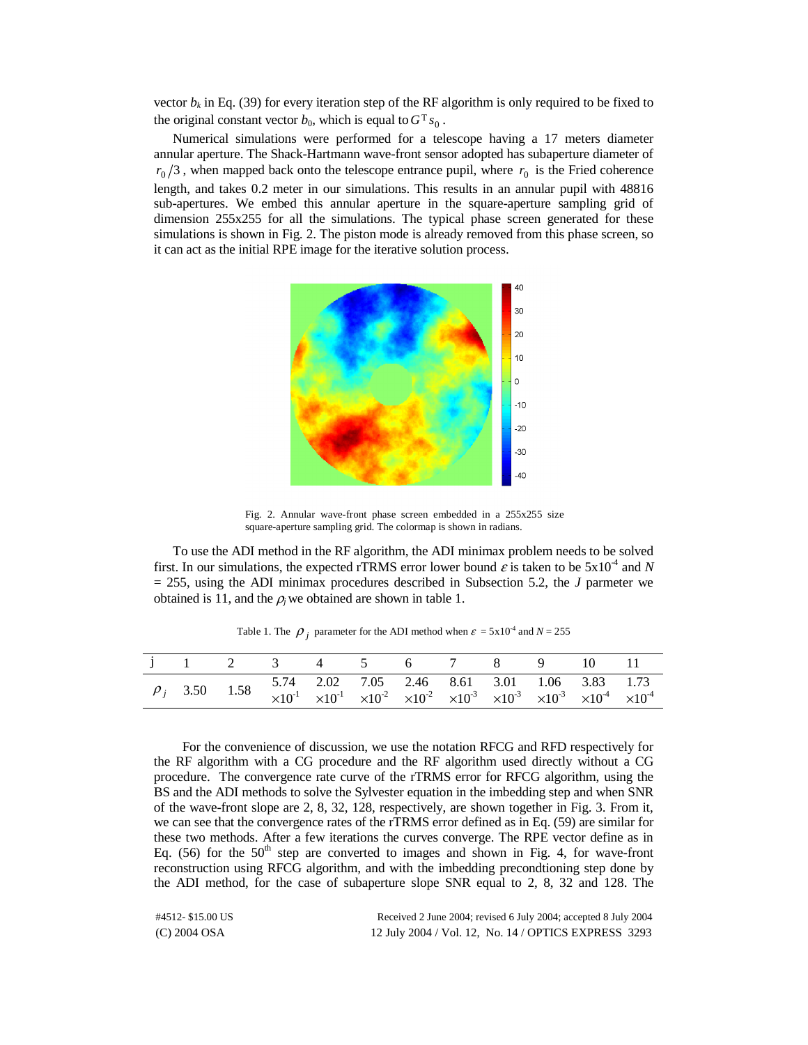vector  $b_k$  in Eq. (39) for every iteration step of the RF algorithm is only required to be fixed to the original constant vector  $b_0$ , which is equal to  $G<sup>T</sup> s_0$ .

Numerical simulations were performed for a telescope having a 17 meters diameter annular aperture. The Shack-Hartmann wave-front sensor adopted has subaperture diameter of  $r_0/3$ , when mapped back onto the telescope entrance pupil, where  $r_0$  is the Fried coherence length, and takes 0.2 meter in our simulations. This results in an annular pupil with 48816 sub-apertures. We embed this annular aperture in the square-aperture sampling grid of dimension 255x255 for all the simulations. The typical phase screen generated for these simulations is shown in Fig. 2. The piston mode is already removed from this phase screen, so it can act as the initial RPE image for the iterative solution process.



Fig. 2. Annular wave-front phase screen embedded in a 255x255 size square-aperture sampling grid. The colormap is shown in radians.

To use the ADI method in the RF algorithm, the ADI minimax problem needs to be solved first. In our simulations, the expected rTRMS error lower bound  $\varepsilon$  is taken to be  $5x10^{-4}$  and N = 255, using the ADI minimax procedures described in Subsection 5.2, the *J* parmeter we obtained is 11, and the  $\rho_j$  we obtained are shown in table 1.

|  | j 1 2 3 4 5 6 7 8 9 10 11                                                                                                                                                                                                                    |  |  |  |  |
|--|----------------------------------------------------------------------------------------------------------------------------------------------------------------------------------------------------------------------------------------------|--|--|--|--|
|  | $\rho_j$ 3.50 1.58 5.74 2.02 7.05 2.46 8.61 3.01 1.06 3.83 1.73<br>$\times 10^{-1}$ $\times 10^{-1}$ $\times 10^{-2}$ $\times 10^{-2}$ $\times 10^{-3}$ $\times 10^{-3}$ $\times 10^{-3}$ $\times 10^{-3}$ $\times 10^{-4}$ $\times 10^{-4}$ |  |  |  |  |

Table 1. The  $\rho_j$  parameter for the ADI method when  $\varepsilon = 5x10^{-4}$  and  $N = 255$ 

For the convenience of discussion, we use the notation RFCG and RFD respectively for the RF algorithm with a CG procedure and the RF algorithm used directly without a CG procedure. The convergence rate curve of the rTRMS error for RFCG algorithm, using the BS and the ADI methods to solve the Sylvester equation in the imbedding step and when SNR of the wave-front slope are 2, 8, 32, 128, respectively, are shown together in Fig. 3. From it, we can see that the convergence rates of the rTRMS error defined as in Eq. (59) are similar for these two methods. After a few iterations the curves converge. The RPE vector define as in Eq. (56) for the  $50<sup>th</sup>$  step are converted to images and shown in Fig. 4, for wave-front reconstruction using RFCG algorithm, and with the imbedding precondtioning step done by the ADI method, for the case of subaperture slope SNR equal to 2, 8, 32 and 128. The

(C) 2004 OSA 12 July 2004 / Vol. 12, No. 14 / OPTICS EXPRESS 3293 #4512- \$15.00 US Received 2 June 2004; revised 6 July 2004; accepted 8 July 2004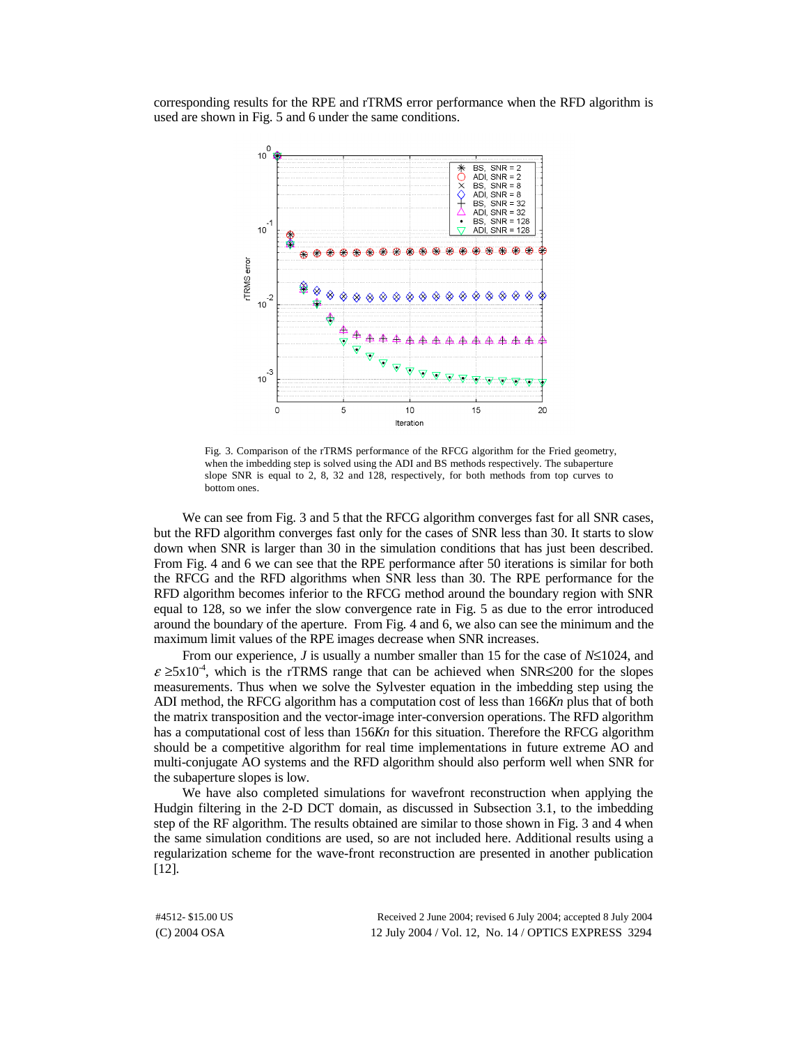corresponding results for the RPE and rTRMS error performance when the RFD algorithm is used are shown in Fig. 5 and 6 under the same conditions.



Fig. 3. Comparison of the rTRMS performance of the RFCG algorithm for the Fried geometry, when the imbedding step is solved using the ADI and BS methods respectively. The subaperture slope SNR is equal to 2, 8, 32 and 128, respectively, for both methods from top curves to bottom ones.

We can see from Fig. 3 and 5 that the RFCG algorithm converges fast for all SNR cases, but the RFD algorithm converges fast only for the cases of SNR less than 30. It starts to slow down when SNR is larger than 30 in the simulation conditions that has just been described. From Fig. 4 and 6 we can see that the RPE performance after 50 iterations is similar for both the RFCG and the RFD algorithms when SNR less than 30. The RPE performance for the RFD algorithm becomes inferior to the RFCG method around the boundary region with SNR equal to 128, so we infer the slow convergence rate in Fig. 5 as due to the error introduced around the boundary of the aperture. From Fig. 4 and 6, we also can see the minimum and the maximum limit values of the RPE images decrease when SNR increases.

From our experience, *J* is usually a number smaller than 15 for the case of *N*≤1024, and  $\varepsilon \ge 5x10^{-4}$ , which is the rTRMS range that can be achieved when SNR≤200 for the slopes measurements. Thus when we solve the Sylvester equation in the imbedding step using the ADI method, the RFCG algorithm has a computation cost of less than 166*Kn* plus that of both the matrix transposition and the vector-image inter-conversion operations. The RFD algorithm has a computational cost of less than 156*Kn* for this situation. Therefore the RFCG algorithm should be a competitive algorithm for real time implementations in future extreme AO and multi-conjugate AO systems and the RFD algorithm should also perform well when SNR for the subaperture slopes is low.

We have also completed simulations for wavefront reconstruction when applying the Hudgin filtering in the 2-D DCT domain, as discussed in Subsection 3.1, to the imbedding step of the RF algorithm. The results obtained are similar to those shown in Fig. 3 and 4 when the same simulation conditions are used, so are not included here. Additional results using a regularization scheme for the wave-front reconstruction are presented in another publication [12].

(C) 2004 OSA 12 July 2004 / Vol. 12, No. 14 / OPTICS EXPRESS 3294 #4512- \$15.00 US Received 2 June 2004; revised 6 July 2004; accepted 8 July 2004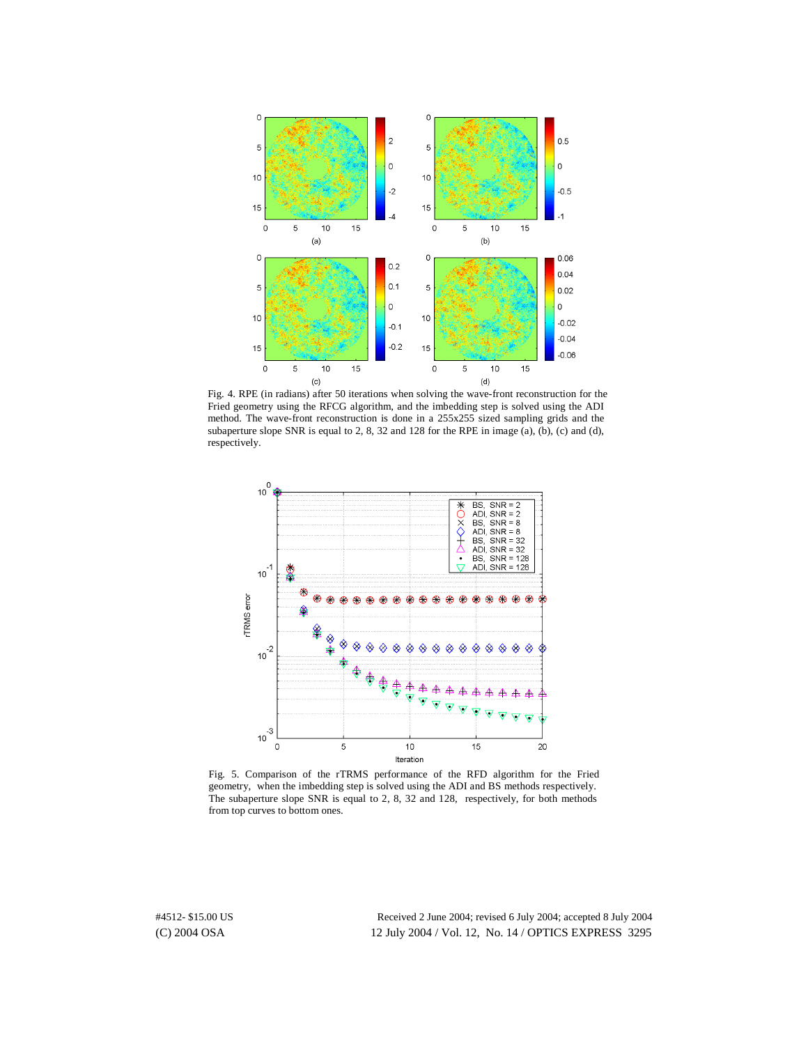

Fig. 4. RPE (in radians) after 50 iterations when solving the wave-front reconstruction for the Fried geometry using the RFCG algorithm, and the imbedding step is solved using the ADI method. The wave-front reconstruction is done in a 255x255 sized sampling grids and the subaperture slope SNR is equal to 2, 8, 32 and 128 for the RPE in image (a), (b), (c) and (d), respectively.



Fig. 5. Comparison of the rTRMS performance of the RFD algorithm for the Fried geometry, when the imbedding step is solved using the ADI and BS methods respectively. The subaperture slope SNR is equal to 2, 8, 32 and 128, respectively, for both methods from top curves to bottom ones.

(C) 2004 OSA 12 July 2004 / Vol. 12, No. 14 / OPTICS EXPRESS 3295 #4512- \$15.00 US Received 2 June 2004; revised 6 July 2004; accepted 8 July 2004